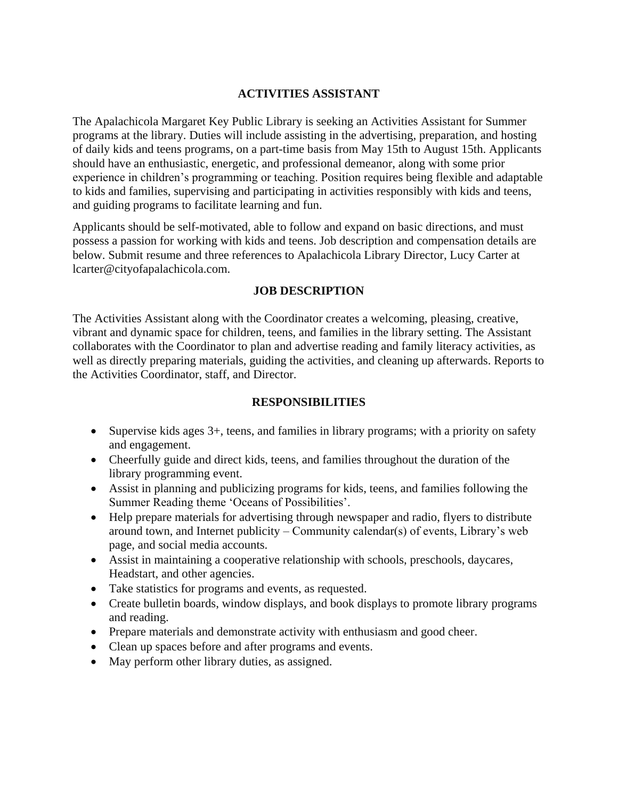#### **ACTIVITIES ASSISTANT**

The Apalachicola Margaret Key Public Library is seeking an Activities Assistant for Summer programs at the library. Duties will include assisting in the advertising, preparation, and hosting of daily kids and teens programs, on a part-time basis from May 15th to August 15th. Applicants should have an enthusiastic, energetic, and professional demeanor, along with some prior experience in children's programming or teaching. Position requires being flexible and adaptable to kids and families, supervising and participating in activities responsibly with kids and teens, and guiding programs to facilitate learning and fun.

Applicants should be self-motivated, able to follow and expand on basic directions, and must possess a passion for working with kids and teens. Job description and compensation details are below. Submit resume and three references to Apalachicola Library Director, Lucy Carter at lcarter@cityofapalachicola.com.

#### **JOB DESCRIPTION**

The Activities Assistant along with the Coordinator creates a welcoming, pleasing, creative, vibrant and dynamic space for children, teens, and families in the library setting. The Assistant collaborates with the Coordinator to plan and advertise reading and family literacy activities, as well as directly preparing materials, guiding the activities, and cleaning up afterwards. Reports to the Activities Coordinator, staff, and Director.

### **RESPONSIBILITIES**

- Supervise kids ages 3+, teens, and families in library programs; with a priority on safety and engagement.
- Cheerfully guide and direct kids, teens, and families throughout the duration of the library programming event.
- Assist in planning and publicizing programs for kids, teens, and families following the Summer Reading theme 'Oceans of Possibilities'.
- Help prepare materials for advertising through newspaper and radio, flyers to distribute around town, and Internet publicity – Community calendar(s) of events, Library's web page, and social media accounts.
- Assist in maintaining a cooperative relationship with schools, preschools, daycares, Headstart, and other agencies.
- Take statistics for programs and events, as requested.
- Create bulletin boards, window displays, and book displays to promote library programs and reading.
- Prepare materials and demonstrate activity with enthusiasm and good cheer.
- Clean up spaces before and after programs and events.
- May perform other library duties, as assigned.